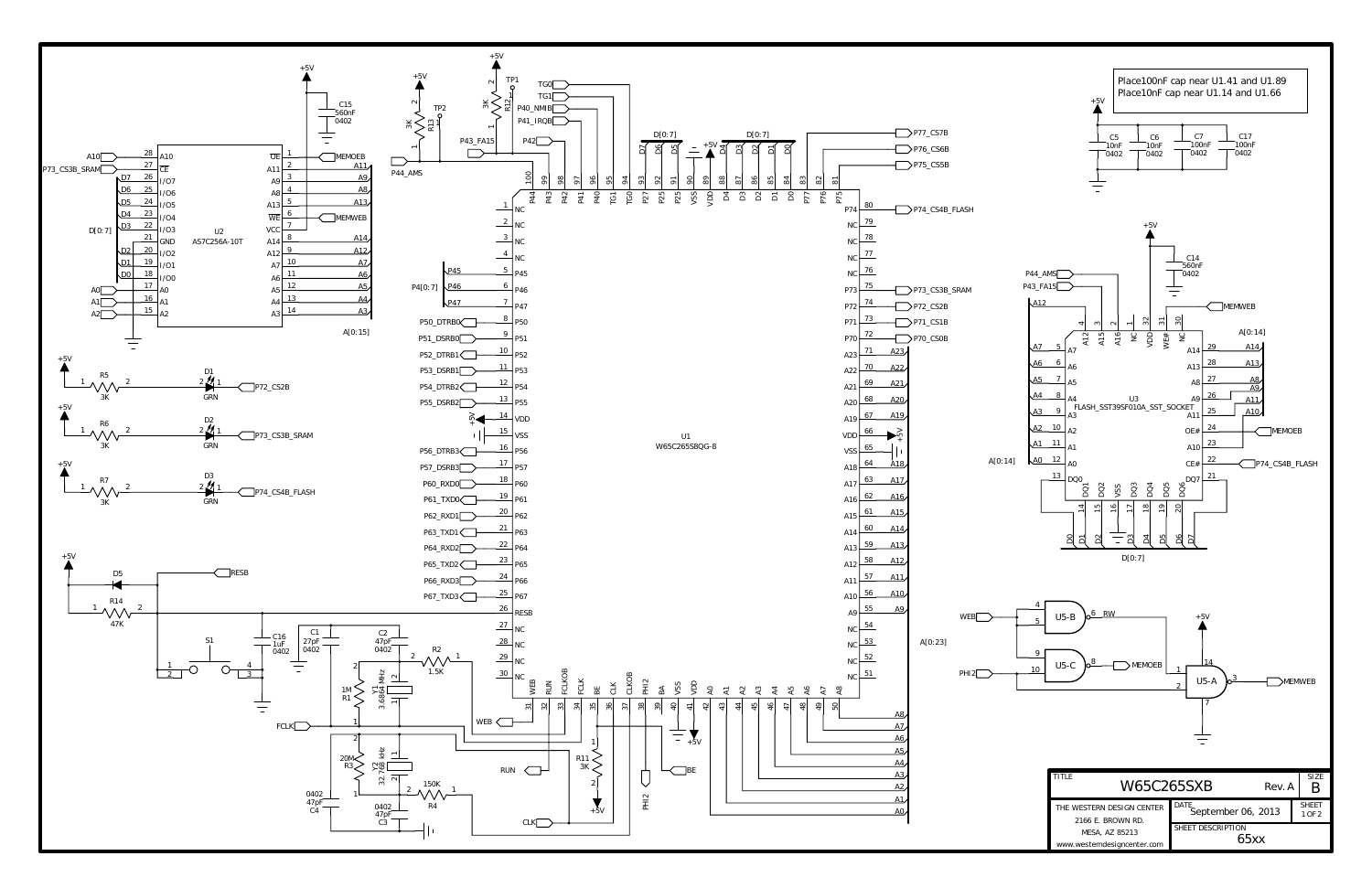